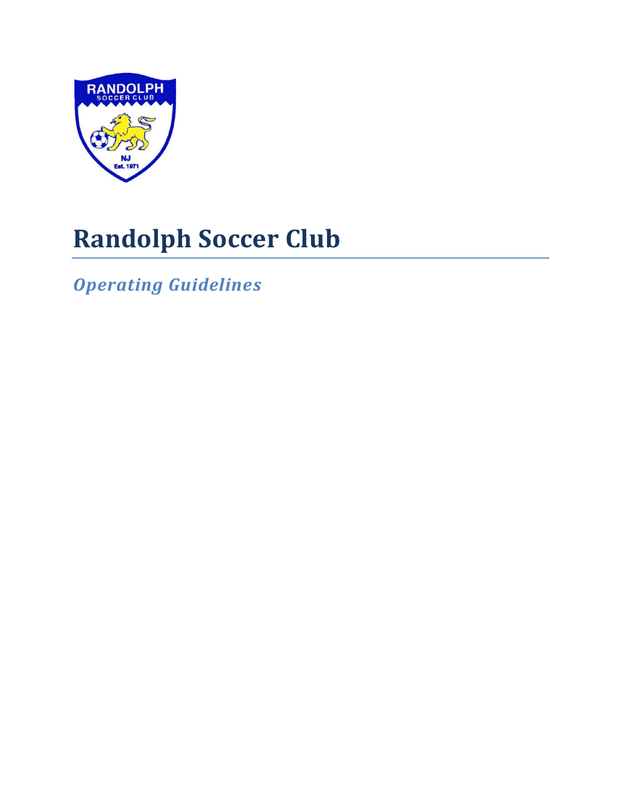

# **Randolph Soccer Club**

*Operating Guidelines*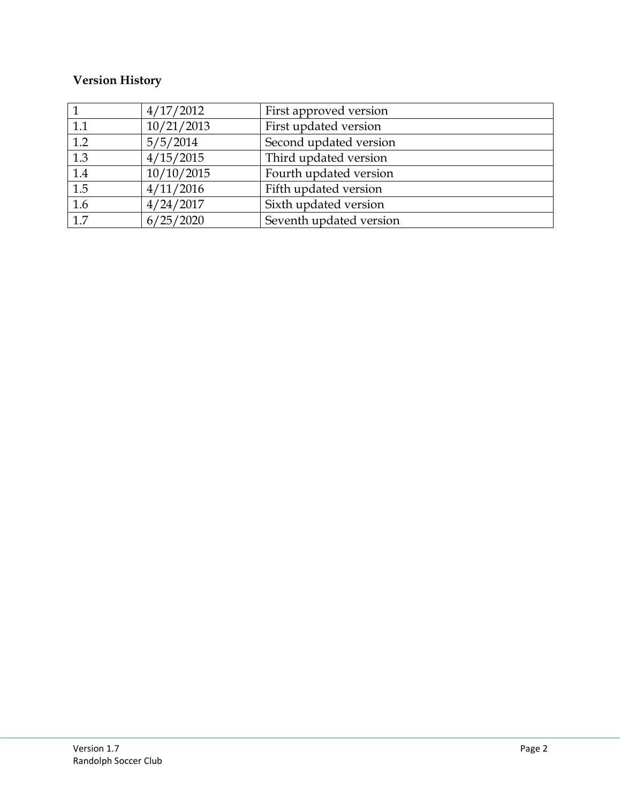### **Version History**

|                  | 4/17/2012  | First approved version  |
|------------------|------------|-------------------------|
| 1.1              | 10/21/2013 | First updated version   |
| 1.2              | 5/5/2014   | Second updated version  |
| $\overline{1.3}$ | 4/15/2015  | Third updated version   |
| $\overline{1.4}$ | 10/10/2015 | Fourth updated version  |
| 1.5              | 4/11/2016  | Fifth updated version   |
| 1.6              | 4/24/2017  | Sixth updated version   |
| $\overline{1.7}$ | 6/25/2020  | Seventh updated version |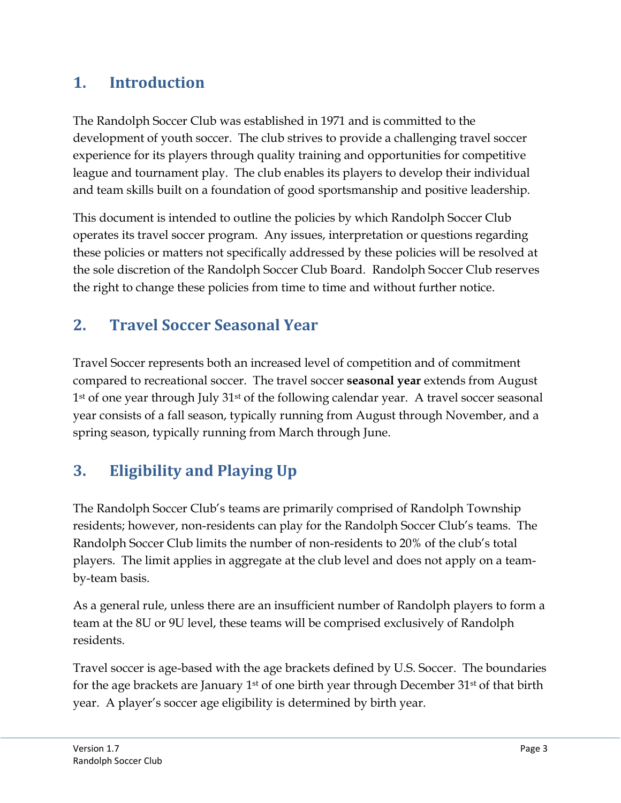# **1. Introduction**

The Randolph Soccer Club was established in 1971 and is committed to the development of youth soccer. The club strives to provide a challenging travel soccer experience for its players through quality training and opportunities for competitive league and tournament play. The club enables its players to develop their individual and team skills built on a foundation of good sportsmanship and positive leadership.

This document is intended to outline the policies by which Randolph Soccer Club operates its travel soccer program. Any issues, interpretation or questions regarding these policies or matters not specifically addressed by these policies will be resolved at the sole discretion of the Randolph Soccer Club Board. Randolph Soccer Club reserves the right to change these policies from time to time and without further notice.

# **2. Travel Soccer Seasonal Year**

Travel Soccer represents both an increased level of competition and of commitment compared to recreational soccer. The travel soccer **seasonal year** extends from August 1st of one year through July 31st of the following calendar year. A travel soccer seasonal year consists of a fall season, typically running from August through November, and a spring season, typically running from March through June.

# **3. Eligibility and Playing Up**

The Randolph Soccer Club's teams are primarily comprised of Randolph Township residents; however, non-residents can play for the Randolph Soccer Club's teams. The Randolph Soccer Club limits the number of non-residents to 20% of the club's total players. The limit applies in aggregate at the club level and does not apply on a teamby-team basis.

As a general rule, unless there are an insufficient number of Randolph players to form a team at the 8U or 9U level, these teams will be comprised exclusively of Randolph residents.

Travel soccer is age-based with the age brackets defined by U.S. Soccer. The boundaries for the age brackets are January 1<sup>st</sup> of one birth year through December 31<sup>st</sup> of that birth year. A player's soccer age eligibility is determined by birth year.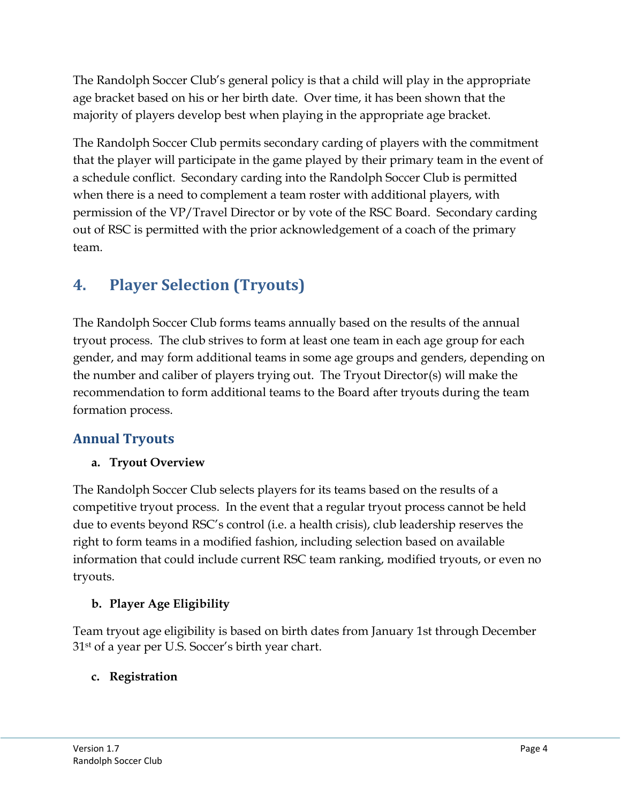The Randolph Soccer Club's general policy is that a child will play in the appropriate age bracket based on his or her birth date. Over time, it has been shown that the majority of players develop best when playing in the appropriate age bracket.

The Randolph Soccer Club permits secondary carding of players with the commitment that the player will participate in the game played by their primary team in the event of a schedule conflict. Secondary carding into the Randolph Soccer Club is permitted when there is a need to complement a team roster with additional players, with permission of the VP/Travel Director or by vote of the RSC Board. Secondary carding out of RSC is permitted with the prior acknowledgement of a coach of the primary team.

# **4. Player Selection (Tryouts)**

The Randolph Soccer Club forms teams annually based on the results of the annual tryout process. The club strives to form at least one team in each age group for each gender, and may form additional teams in some age groups and genders, depending on the number and caliber of players trying out. The Tryout Director(s) will make the recommendation to form additional teams to the Board after tryouts during the team formation process.

### **Annual Tryouts**

#### **a. Tryout Overview**

The Randolph Soccer Club selects players for its teams based on the results of a competitive tryout process. In the event that a regular tryout process cannot be held due to events beyond RSC's control (i.e. a health crisis), club leadership reserves the right to form teams in a modified fashion, including selection based on available information that could include current RSC team ranking, modified tryouts, or even no tryouts.

#### **b. Player Age Eligibility**

Team tryout age eligibility is based on birth dates from January 1st through December 31st of a year per U.S. Soccer's birth year chart.

#### **c. Registration**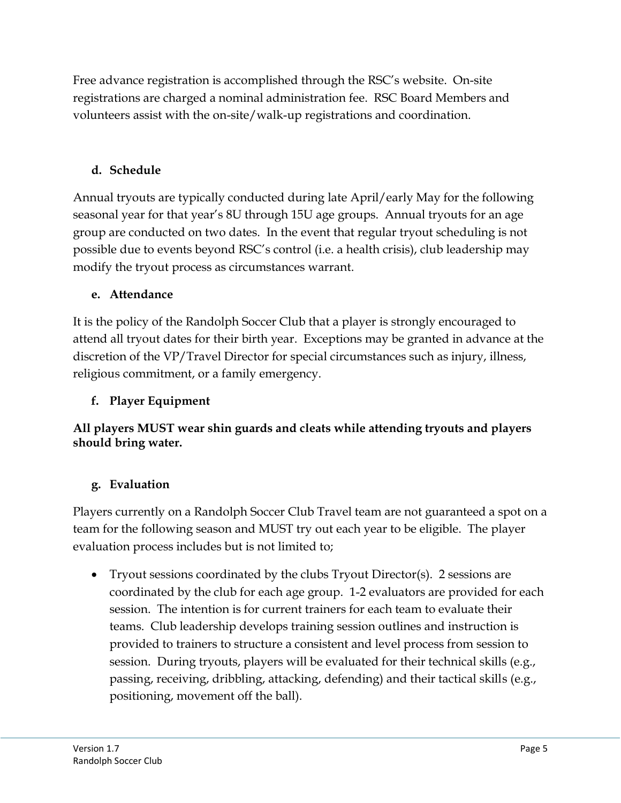Free advance registration is accomplished through the RSC's website. On-site registrations are charged a nominal administration fee. RSC Board Members and volunteers assist with the on-site/walk-up registrations and coordination.

#### **d. Schedule**

Annual tryouts are typically conducted during late April/early May for the following seasonal year for that year's 8U through 15U age groups. Annual tryouts for an age group are conducted on two dates. In the event that regular tryout scheduling is not possible due to events beyond RSC's control (i.e. a health crisis), club leadership may modify the tryout process as circumstances warrant.

#### **e. Attendance**

It is the policy of the Randolph Soccer Club that a player is strongly encouraged to attend all tryout dates for their birth year. Exceptions may be granted in advance at the discretion of the VP/Travel Director for special circumstances such as injury, illness, religious commitment, or a family emergency.

#### **f. Player Equipment**

**All players MUST wear shin guards and cleats while attending tryouts and players should bring water.** 

#### **g. Evaluation**

Players currently on a Randolph Soccer Club Travel team are not guaranteed a spot on a team for the following season and MUST try out each year to be eligible. The player evaluation process includes but is not limited to;

 Tryout sessions coordinated by the clubs Tryout Director(s). 2 sessions are coordinated by the club for each age group. 1-2 evaluators are provided for each session. The intention is for current trainers for each team to evaluate their teams. Club leadership develops training session outlines and instruction is provided to trainers to structure a consistent and level process from session to session. During tryouts, players will be evaluated for their technical skills (e.g., passing, receiving, dribbling, attacking, defending) and their tactical skills (e.g., positioning, movement off the ball).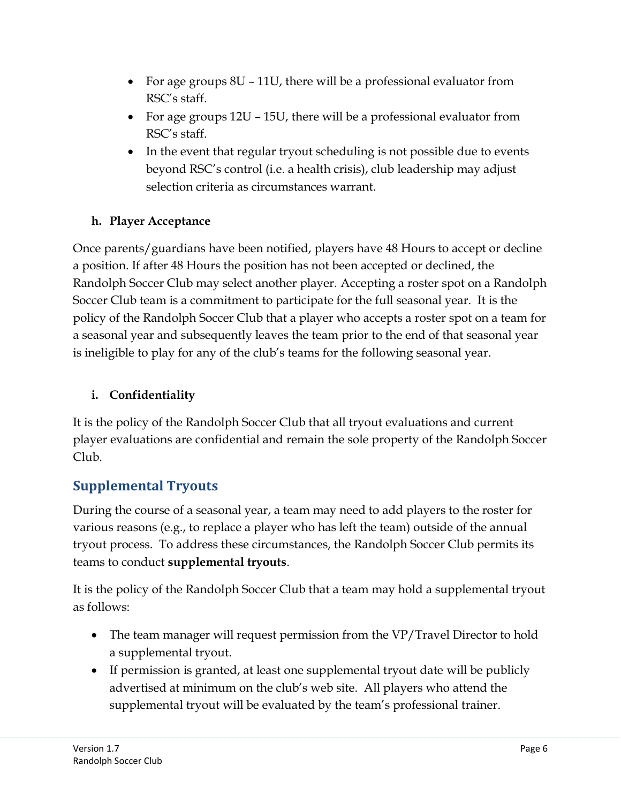- For age groups 8U 11U, there will be a professional evaluator from RSC's staff.
- For age groups 12U 15U, there will be a professional evaluator from RSC's staff.
- In the event that regular tryout scheduling is not possible due to events beyond RSC's control (i.e. a health crisis), club leadership may adjust selection criteria as circumstances warrant.

#### **h. Player Acceptance**

Once parents/guardians have been notified, players have 48 Hours to accept or decline a position. If after 48 Hours the position has not been accepted or declined, the Randolph Soccer Club may select another player. Accepting a roster spot on a Randolph Soccer Club team is a commitment to participate for the full seasonal year. It is the policy of the Randolph Soccer Club that a player who accepts a roster spot on a team for a seasonal year and subsequently leaves the team prior to the end of that seasonal year is ineligible to play for any of the club's teams for the following seasonal year.

#### **i. Confidentiality**

It is the policy of the Randolph Soccer Club that all tryout evaluations and current player evaluations are confidential and remain the sole property of the Randolph Soccer Club.

#### **Supplemental Tryouts**

During the course of a seasonal year, a team may need to add players to the roster for various reasons (e.g., to replace a player who has left the team) outside of the annual tryout process. To address these circumstances, the Randolph Soccer Club permits its teams to conduct **supplemental tryouts**.

It is the policy of the Randolph Soccer Club that a team may hold a supplemental tryout as follows:

- The team manager will request permission from the VP/Travel Director to hold a supplemental tryout.
- If permission is granted, at least one supplemental tryout date will be publicly advertised at minimum on the club's web site. All players who attend the supplemental tryout will be evaluated by the team's professional trainer.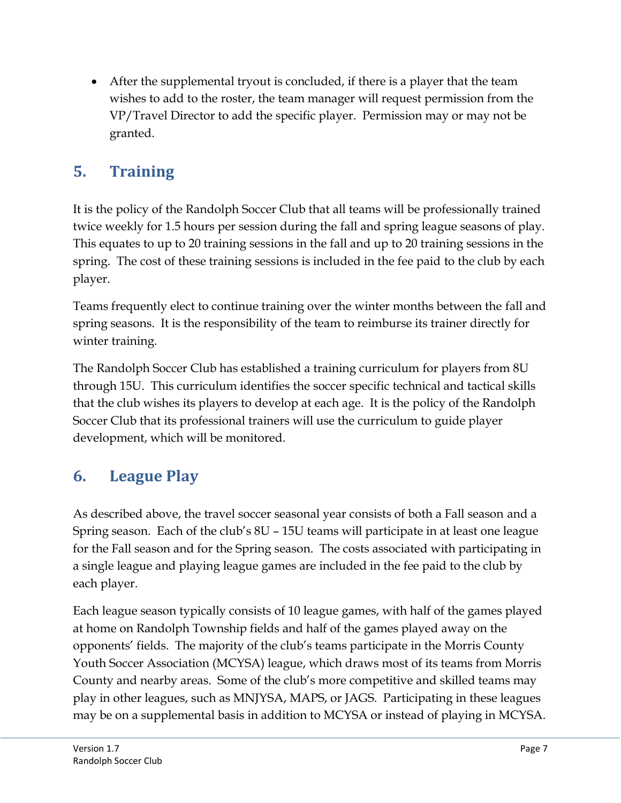After the supplemental tryout is concluded, if there is a player that the team wishes to add to the roster, the team manager will request permission from the VP/Travel Director to add the specific player. Permission may or may not be granted.

# **5. Training**

It is the policy of the Randolph Soccer Club that all teams will be professionally trained twice weekly for 1.5 hours per session during the fall and spring league seasons of play. This equates to up to 20 training sessions in the fall and up to 20 training sessions in the spring. The cost of these training sessions is included in the fee paid to the club by each player.

Teams frequently elect to continue training over the winter months between the fall and spring seasons. It is the responsibility of the team to reimburse its trainer directly for winter training.

The Randolph Soccer Club has established a training curriculum for players from 8U through 15U. This curriculum identifies the soccer specific technical and tactical skills that the club wishes its players to develop at each age. It is the policy of the Randolph Soccer Club that its professional trainers will use the curriculum to guide player development, which will be monitored.

# **6. League Play**

As described above, the travel soccer seasonal year consists of both a Fall season and a Spring season. Each of the club's 8U – 15U teams will participate in at least one league for the Fall season and for the Spring season. The costs associated with participating in a single league and playing league games are included in the fee paid to the club by each player.

Each league season typically consists of 10 league games, with half of the games played at home on Randolph Township fields and half of the games played away on the opponents' fields. The majority of the club's teams participate in the Morris County Youth Soccer Association (MCYSA) league, which draws most of its teams from Morris County and nearby areas. Some of the club's more competitive and skilled teams may play in other leagues, such as MNJYSA, MAPS, or JAGS. Participating in these leagues may be on a supplemental basis in addition to MCYSA or instead of playing in MCYSA.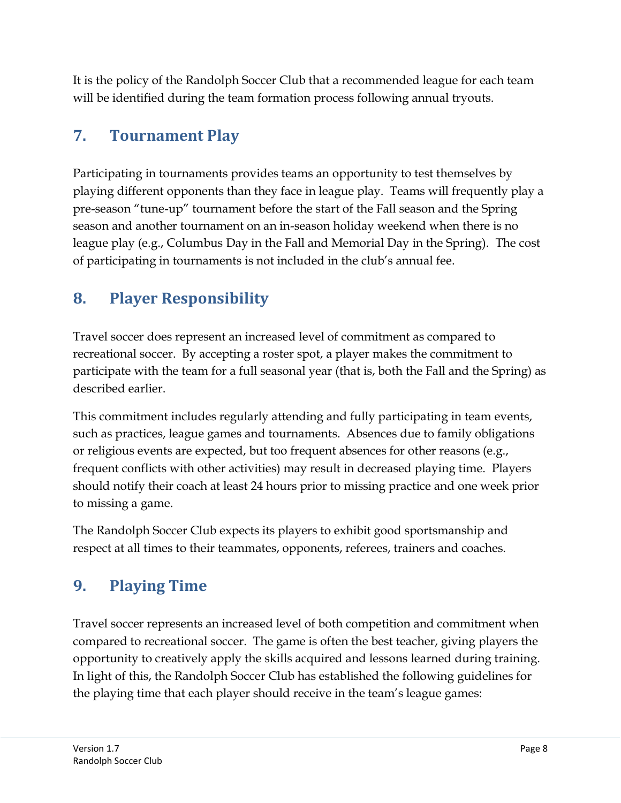It is the policy of the Randolph Soccer Club that a recommended league for each team will be identified during the team formation process following annual tryouts.

# **7. Tournament Play**

Participating in tournaments provides teams an opportunity to test themselves by playing different opponents than they face in league play. Teams will frequently play a pre-season "tune-up" tournament before the start of the Fall season and the Spring season and another tournament on an in-season holiday weekend when there is no league play (e.g., Columbus Day in the Fall and Memorial Day in the Spring). The cost of participating in tournaments is not included in the club's annual fee.

# **8. Player Responsibility**

Travel soccer does represent an increased level of commitment as compared to recreational soccer. By accepting a roster spot, a player makes the commitment to participate with the team for a full seasonal year (that is, both the Fall and the Spring) as described earlier.

This commitment includes regularly attending and fully participating in team events, such as practices, league games and tournaments. Absences due to family obligations or religious events are expected, but too frequent absences for other reasons (e.g., frequent conflicts with other activities) may result in decreased playing time. Players should notify their coach at least 24 hours prior to missing practice and one week prior to missing a game.

The Randolph Soccer Club expects its players to exhibit good sportsmanship and respect at all times to their teammates, opponents, referees, trainers and coaches.

# **9. Playing Time**

Travel soccer represents an increased level of both competition and commitment when compared to recreational soccer. The game is often the best teacher, giving players the opportunity to creatively apply the skills acquired and lessons learned during training. In light of this, the Randolph Soccer Club has established the following guidelines for the playing time that each player should receive in the team's league games: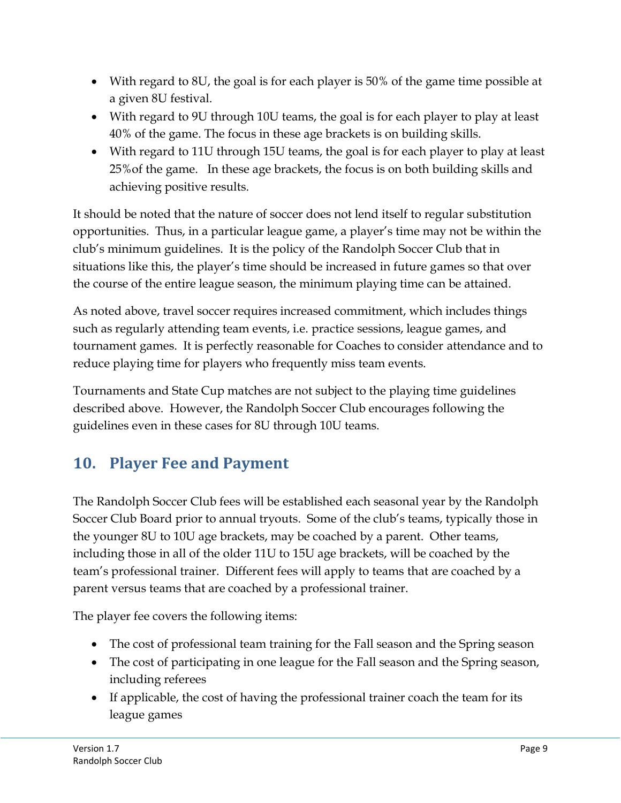- With regard to 8U, the goal is for each player is 50% of the game time possible at a given 8U festival.
- With regard to 9U through 10U teams, the goal is for each player to play at least 40% of the game. The focus in these age brackets is on building skills.
- With regard to 11U through 15U teams, the goal is for each player to play at least 25%of the game. In these age brackets, the focus is on both building skills and achieving positive results.

It should be noted that the nature of soccer does not lend itself to regular substitution opportunities. Thus, in a particular league game, a player's time may not be within the club's minimum guidelines. It is the policy of the Randolph Soccer Club that in situations like this, the player's time should be increased in future games so that over the course of the entire league season, the minimum playing time can be attained.

As noted above, travel soccer requires increased commitment, which includes things such as regularly attending team events, i.e. practice sessions, league games, and tournament games. It is perfectly reasonable for Coaches to consider attendance and to reduce playing time for players who frequently miss team events.

Tournaments and State Cup matches are not subject to the playing time guidelines described above. However, the Randolph Soccer Club encourages following the guidelines even in these cases for 8U through 10U teams.

# **10. Player Fee and Payment**

The Randolph Soccer Club fees will be established each seasonal year by the Randolph Soccer Club Board prior to annual tryouts. Some of the club's teams, typically those in the younger 8U to 10U age brackets, may be coached by a parent. Other teams, including those in all of the older 11U to 15U age brackets, will be coached by the team's professional trainer. Different fees will apply to teams that are coached by a parent versus teams that are coached by a professional trainer.

The player fee covers the following items:

- The cost of professional team training for the Fall season and the Spring season
- The cost of participating in one league for the Fall season and the Spring season, including referees
- If applicable, the cost of having the professional trainer coach the team for its league games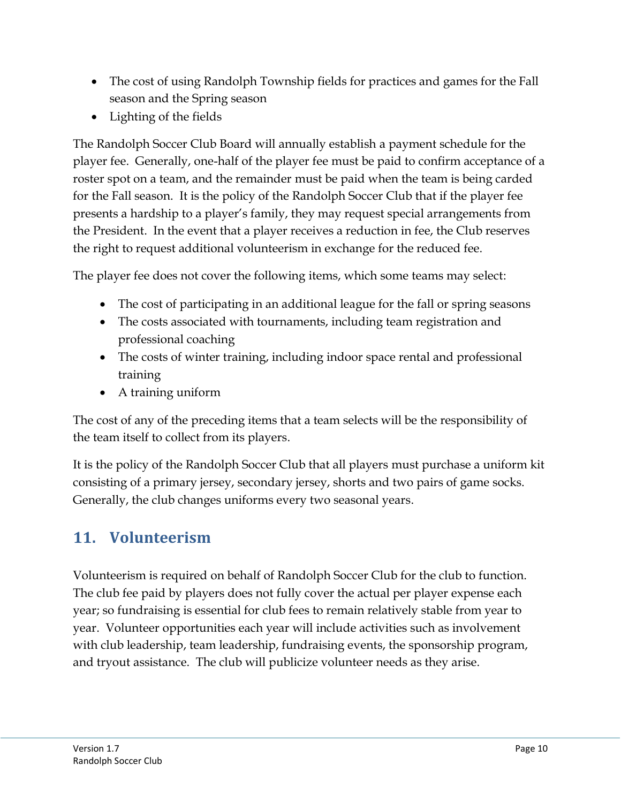- The cost of using Randolph Township fields for practices and games for the Fall season and the Spring season
- Lighting of the fields

The Randolph Soccer Club Board will annually establish a payment schedule for the player fee. Generally, one-half of the player fee must be paid to confirm acceptance of a roster spot on a team, and the remainder must be paid when the team is being carded for the Fall season. It is the policy of the Randolph Soccer Club that if the player fee presents a hardship to a player's family, they may request special arrangements from the President. In the event that a player receives a reduction in fee, the Club reserves the right to request additional volunteerism in exchange for the reduced fee.

The player fee does not cover the following items, which some teams may select:

- The cost of participating in an additional league for the fall or spring seasons
- The costs associated with tournaments, including team registration and professional coaching
- The costs of winter training, including indoor space rental and professional training
- A training uniform

The cost of any of the preceding items that a team selects will be the responsibility of the team itself to collect from its players.

It is the policy of the Randolph Soccer Club that all players must purchase a uniform kit consisting of a primary jersey, secondary jersey, shorts and two pairs of game socks. Generally, the club changes uniforms every two seasonal years.

### **11. Volunteerism**

Volunteerism is required on behalf of Randolph Soccer Club for the club to function. The club fee paid by players does not fully cover the actual per player expense each year; so fundraising is essential for club fees to remain relatively stable from year to year. Volunteer opportunities each year will include activities such as involvement with club leadership, team leadership, fundraising events, the sponsorship program, and tryout assistance. The club will publicize volunteer needs as they arise.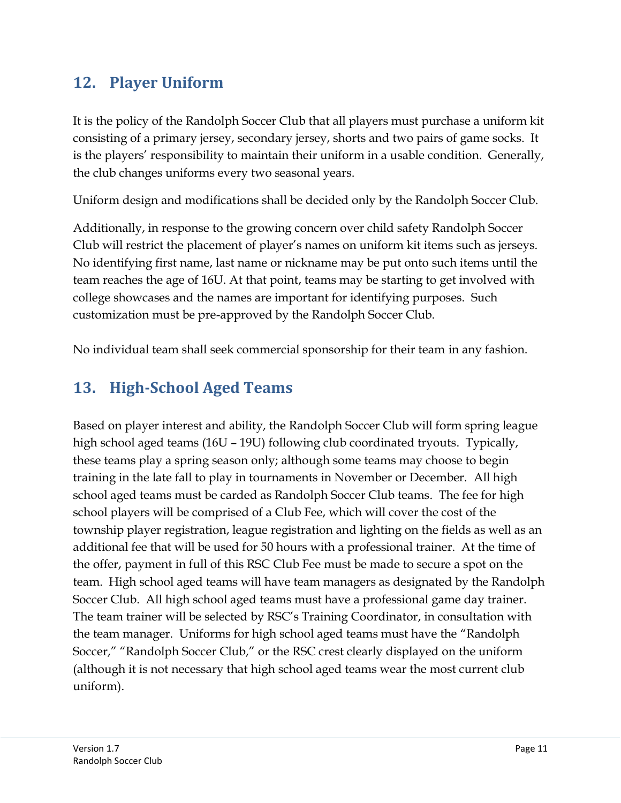### **12. Player Uniform**

It is the policy of the Randolph Soccer Club that all players must purchase a uniform kit consisting of a primary jersey, secondary jersey, shorts and two pairs of game socks. It is the players' responsibility to maintain their uniform in a usable condition. Generally, the club changes uniforms every two seasonal years.

Uniform design and modifications shall be decided only by the Randolph Soccer Club.

Additionally, in response to the growing concern over child safety Randolph Soccer Club will restrict the placement of player's names on uniform kit items such as jerseys. No identifying first name, last name or nickname may be put onto such items until the team reaches the age of 16U. At that point, teams may be starting to get involved with college showcases and the names are important for identifying purposes. Such customization must be pre-approved by the Randolph Soccer Club.

No individual team shall seek commercial sponsorship for their team in any fashion.

# **13. High-School Aged Teams**

Based on player interest and ability, the Randolph Soccer Club will form spring league high school aged teams (16U – 19U) following club coordinated tryouts. Typically, these teams play a spring season only; although some teams may choose to begin training in the late fall to play in tournaments in November or December. All high school aged teams must be carded as Randolph Soccer Club teams. The fee for high school players will be comprised of a Club Fee, which will cover the cost of the township player registration, league registration and lighting on the fields as well as an additional fee that will be used for 50 hours with a professional trainer. At the time of the offer, payment in full of this RSC Club Fee must be made to secure a spot on the team. High school aged teams will have team managers as designated by the Randolph Soccer Club. All high school aged teams must have a professional game day trainer. The team trainer will be selected by RSC's Training Coordinator, in consultation with the team manager. Uniforms for high school aged teams must have the "Randolph Soccer," "Randolph Soccer Club," or the RSC crest clearly displayed on the uniform (although it is not necessary that high school aged teams wear the most current club uniform).